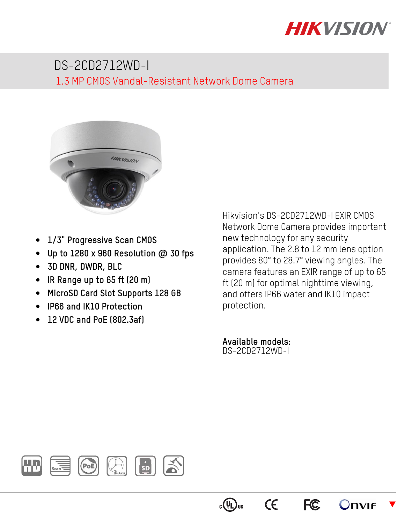

## DS-2CD2712WD-I 1.3 MP CMOS Vandal-Resistant Network Dome Camera



- **1/3" Progressive Scan CMOS**
- **Up to 1280 x 960 Resolution @ 30 fps**
- **3D DNR, DWDR, BLC**
- **IR Range up to 65 ft (20 m)**
- **MicroSD Card Slot Supports 128 GB**
- **IP66 and IK10 Protection**
- **12 VDC and PoE (802.3af)**

Hikvision's DS-2CD2712WD-I EXIR CMOS Network Dome Camera provides important new technology for any security application. The 2.8 to 12 mm lens option provides 80° to 28.7° viewing angles. The camera features an EXIR range of up to 65 ft (20 m) for optimal nighttime viewing, and offers IP66 water and IK10 impact protection.

**FC** 

**CE** 

 $c(\sqrt[n]{L})$ us

 $\blacktriangledown$ 

**Onvie** 

**Available models:**  DS-2CD2712WD-I